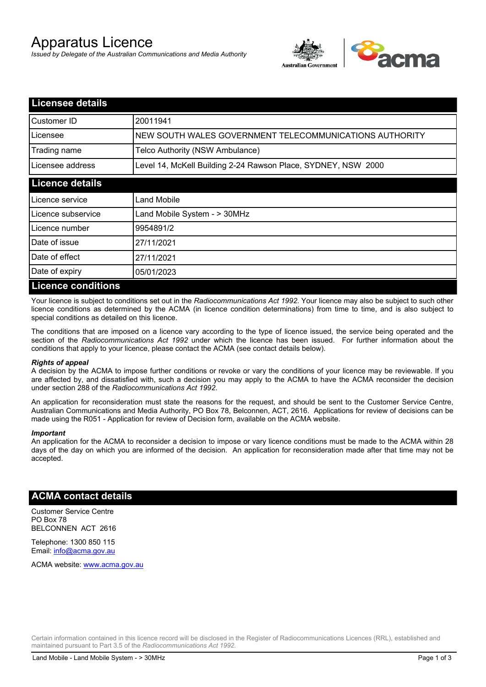# Apparatus Licence

*Issued by Delegate of the Australian Communications and Media Authority*



| <b>Licensee details</b>   |                                                               |
|---------------------------|---------------------------------------------------------------|
| Customer ID               | 20011941                                                      |
| Licensee                  | NEW SOUTH WALES GOVERNMENT TELECOMMUNICATIONS AUTHORITY       |
| Trading name              | Telco Authority (NSW Ambulance)                               |
| Licensee address          | Level 14, McKell Building 2-24 Rawson Place, SYDNEY, NSW 2000 |
| <b>Licence details</b>    |                                                               |
| l Licence service         | <b>Land Mobile</b>                                            |
| Licence subservice        | Land Mobile System - > 30MHz                                  |
| Licence number            | 9954891/2                                                     |
| Date of issue             | 27/11/2021                                                    |
| Date of effect            | 27/11/2021                                                    |
| Date of expiry            | 05/01/2023                                                    |
| <b>Licence conditions</b> |                                                               |

Your licence is subject to conditions set out in the *Radiocommunications Act 1992*. Your licence may also be subject to such other licence conditions as determined by the ACMA (in licence condition determinations) from time to time, and is also subject to special conditions as detailed on this licence.

The conditions that are imposed on a licence vary according to the type of licence issued, the service being operated and the section of the *Radiocommunications Act 1992* under which the licence has been issued. For further information about the conditions that apply to your licence, please contact the ACMA (see contact details below).

#### *Rights of appeal*

A decision by the ACMA to impose further conditions or revoke or vary the conditions of your licence may be reviewable. If you are affected by, and dissatisfied with, such a decision you may apply to the ACMA to have the ACMA reconsider the decision under section 288 of the *Radiocommunications Act 1992*.

An application for reconsideration must state the reasons for the request, and should be sent to the Customer Service Centre, Australian Communications and Media Authority, PO Box 78, Belconnen, ACT, 2616. Applications for review of decisions can be made using the R051 - Application for review of Decision form, available on the ACMA website.

#### *Important*

An application for the ACMA to reconsider a decision to impose or vary licence conditions must be made to the ACMA within 28 days of the day on which you are informed of the decision. An application for reconsideration made after that time may not be accepted.

### **ACMA contact details**

Customer Service Centre PO Box 78 BELCONNEN ACT 2616

Telephone: 1300 850 115 Email: info@acma.gov.au

ACMA website: www.acma.gov.au

Certain information contained in this licence record will be disclosed in the Register of Radiocommunications Licences (RRL), established and maintained pursuant to Part 3.5 of the *Radiocommunications Act 1992.*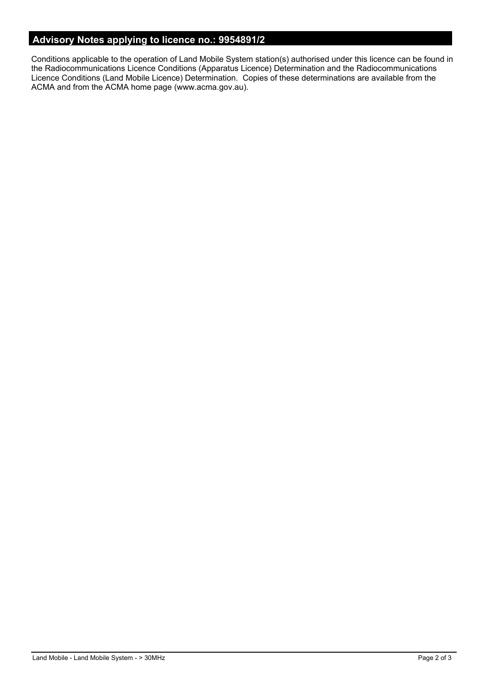# **Advisory Notes applying to licence no.: 9954891/2**

Conditions applicable to the operation of Land Mobile System station(s) authorised under this licence can be found in the Radiocommunications Licence Conditions (Apparatus Licence) Determination and the Radiocommunications Licence Conditions (Land Mobile Licence) Determination. Copies of these determinations are available from the ACMA and from the ACMA home page (www.acma.gov.au).